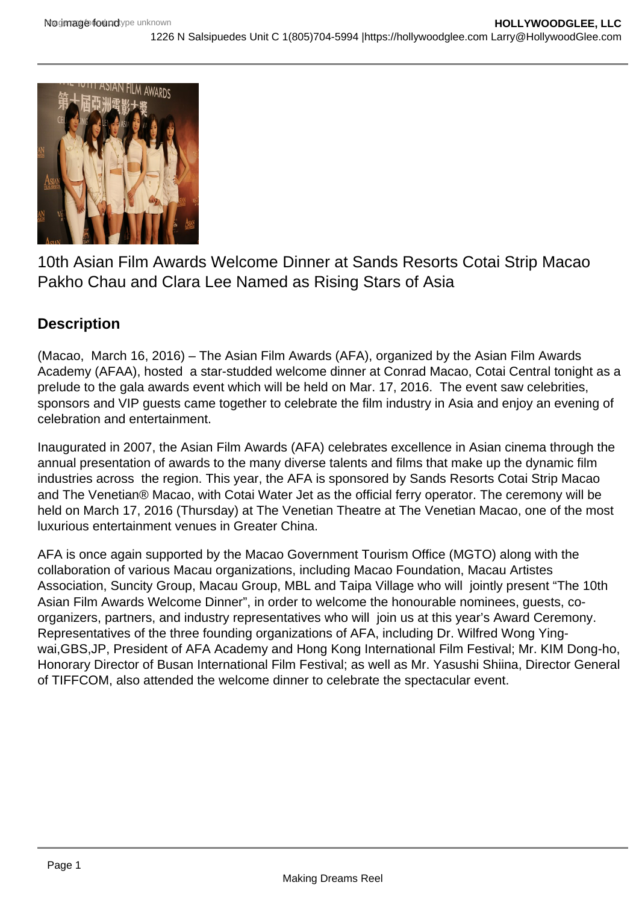

10th Asian Film Awards Welcome Dinner at Sands Resorts Cotai Strip Macao Pakho Chau and Clara Lee Named as Rising Stars of Asia

## **Description**

(Macao, March 16, 2016) – The Asian Film Awards (AFA), organized by the Asian Film Awards Academy (AFAA), hosted a star-studded welcome dinner at Conrad Macao, Cotai Central tonight as a prelude to the gala awards event which will be held on Mar. 17, 2016. The event saw celebrities, sponsors and VIP guests came together to celebrate the film industry in Asia and enjoy an evening of celebration and entertainment.

Inaugurated in 2007, the Asian Film Awards (AFA) celebrates excellence in Asian cinema through the annual presentation of awards to the many diverse talents and films that make up the dynamic film industries across the region. This year, the AFA is sponsored by Sands Resorts Cotai Strip Macao and The Venetian® Macao, with Cotai Water Jet as the official ferry operator. The ceremony will be held on March 17, 2016 (Thursday) at The Venetian Theatre at The Venetian Macao, one of the most luxurious entertainment venues in Greater China.

AFA is once again supported by the Macao Government Tourism Office (MGTO) along with the collaboration of various Macau organizations, including Macao Foundation, Macau Artistes Association, Suncity Group, Macau Group, MBL and Taipa Village who will jointly present "The 10th Asian Film Awards Welcome Dinner", in order to welcome the honourable nominees, guests, coorganizers, partners, and industry representatives who will join us at this year's Award Ceremony. Representatives of the three founding organizations of AFA, including Dr. Wilfred Wong Yingwai,GBS,JP, President of AFA Academy and Hong Kong International Film Festival; Mr. KIM Dong-ho, Honorary Director of Busan International Film Festival; as well as Mr. Yasushi Shiina, Director General of TIFFCOM, also attended the welcome dinner to celebrate the spectacular event.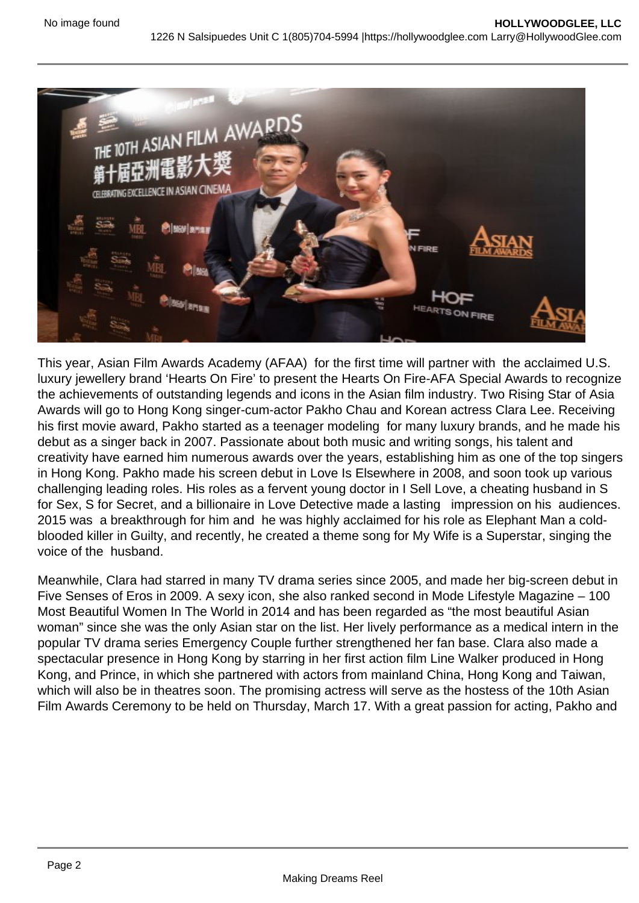

This year, Asian Film Awards Academy (AFAA) for the first time will partner with the acclaimed U.S. luxury jewellery brand 'Hearts On Fire' to present the Hearts On Fire-AFA Special Awards to recognize the achievements of outstanding legends and icons in the Asian film industry. Two Rising Star of Asia Awards will go to Hong Kong singer-cum-actor Pakho Chau and Korean actress Clara Lee. Receiving his first movie award, Pakho started as a teenager modeling for many luxury brands, and he made his debut as a singer back in 2007. Passionate about both music and writing songs, his talent and creativity have earned him numerous awards over the years, establishing him as one of the top singers in Hong Kong. Pakho made his screen debut in Love Is Elsewhere in 2008, and soon took up various challenging leading roles. His roles as a fervent young doctor in I Sell Love, a cheating husband in S for Sex, S for Secret, and a billionaire in Love Detective made a lasting impression on his audiences. 2015 was a breakthrough for him and he was highly acclaimed for his role as Elephant Man a coldblooded killer in Guilty, and recently, he created a theme song for My Wife is a Superstar, singing the voice of the husband.

Meanwhile, Clara had starred in many TV drama series since 2005, and made her big-screen debut in Five Senses of Eros in 2009. A sexy icon, she also ranked second in Mode Lifestyle Magazine – 100 Most Beautiful Women In The World in 2014 and has been regarded as "the most beautiful Asian woman" since she was the only Asian star on the list. Her lively performance as a medical intern in the popular TV drama series Emergency Couple further strengthened her fan base. Clara also made a spectacular presence in Hong Kong by starring in her first action film Line Walker produced in Hong Kong, and Prince, in which she partnered with actors from mainland China, Hong Kong and Taiwan, which will also be in theatres soon. The promising actress will serve as the hostess of the 10th Asian Film Awards Ceremony to be held on Thursday, March 17. With a great passion for acting, Pakho and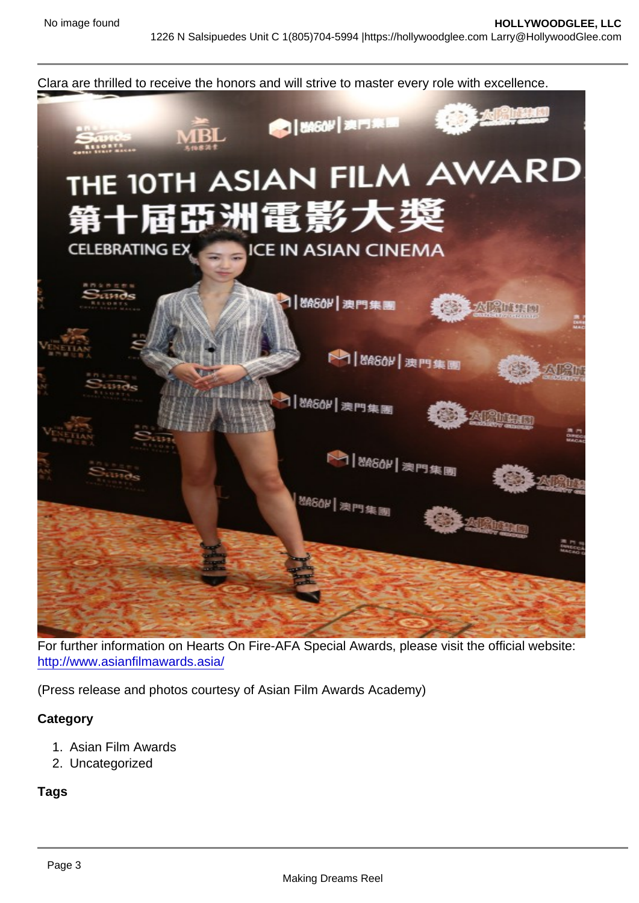Clara are thrilled to receive the honors and will strive to master every role with excellence.

For further information on Hearts On Fire-AFA Special Awards, please visit the official website: <http://www.asianfilmawards.asia/>

(Press release and photos courtesy of Asian Film Awards Academy)

**Category** 

- 1. Asian Film Awards
- 2. Uncategorized

Tags